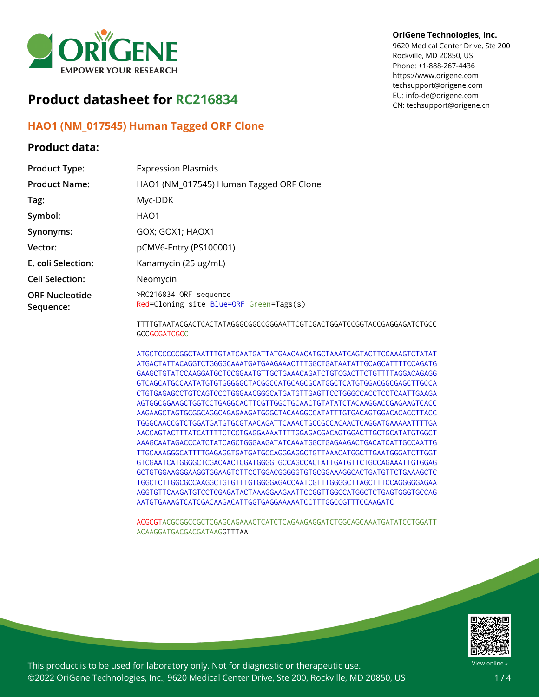

# **Product datasheet for RC216834**

# **HAO1 (NM\_017545) Human Tagged ORF Clone**

## **Product data:**

#### **OriGene Technologies, Inc.**

9620 Medical Center Drive, Ste 200 Rockville, MD 20850, US Phone: +1-888-267-4436 https://www.origene.com techsupport@origene.com EU: info-de@origene.com CN: techsupport@origene.cn

| <b>Product Type:</b>               | <b>Expression Plasmids</b>                                        |
|------------------------------------|-------------------------------------------------------------------|
| <b>Product Name:</b>               | HAO1 (NM_017545) Human Tagged ORF Clone                           |
| Tag:                               | Myc-DDK                                                           |
| Symbol:                            | HAO1                                                              |
| Synonyms:                          | GOX; GOX1; HAOX1                                                  |
| Vector:                            | pCMV6-Entry (PS100001)                                            |
| E. coli Selection:                 | Kanamycin (25 ug/mL)                                              |
| <b>Cell Selection:</b>             | Neomycin                                                          |
| <b>ORF Nucleotide</b><br>Sequence: | >RC216834 ORF sequence<br>Red=Cloning site Blue=ORF Green=Tags(s) |
|                                    | TTTTGTAATACGACTCACTATAGGGCGGCCGGAATTCGTCGACTGGATCCGGTACCGA        |

GTAATACGACTCACTATAGGGCGGCCGGGAATTCGTCGACTGGATCCGGTACCGAGGAGATCTGCC **GCCGCGATCGCC** 

ATGCTCCCCCGGCTAATTTGTATCAATGATTATGAACAACATGCTAAATCAGTACTTCCAAAGTCTATAT ATGACTATTACAGGTCTGGGGCAAATGATGAAGAAACTTTGGCTGATAATATTGCAGCATTTTCCAGATG GAAGCTGTATCCAAGGATGCTCCGGAATGTTGCTGAAACAGATCTGTCGACTTCTGTTTTAGGACAGAGG GTCAGCATGCCAATATGTGTGGGGGCTACGGCCATGCAGCGCATGGCTCATGTGGACGGCGAGCTTGCCA CTGTGAGAGCCTGTCAGTCCCTGGGAACGGGCATGATGTTGAGTTCCTGGGCCACCTCCTCAATTGAAGA AGTGGCGGAAGCTGGTCCTGAGGCACTTCGTTGGCTGCAACTGTATATCTACAAGGACCGAGAAGTCACC AAGAAGCTAGTGCGGCAGGCAGAGAAGATGGGCTACAAGGCCATATTTGTGACAGTGGACACACCTTACC TGGGCAACCGTCTGGATGATGTGCGTAACAGATTCAAACTGCCGCCACAACTCAGGATGAAAAATTTTGA AACCAGTACTTTATCATTTTCTCCTGAGGAAAATTTTGGAGACGACAGTGGACTTGCTGCATATGTGGCT AAAGCAATAGACCCATCTATCAGCTGGGAAGATATCAAATGGCTGAGAAGACTGACATCATTGCCAATTG TTGCAAAGGGCATTTTGAGAGGTGATGATGCCAGGGAGGCTGTTAAACATGGCTTGAATGGGATCTTGGT GTCGAATCATGGGGCTCGACAACTCGATGGGGTGCCAGCCACTATTGATGTTCTGCCAGAAATTGTGGAG GCTGTGGAAGGGAAGGTGGAAGTCTTCCTGGACGGGGGTGTGCGGAAAGGCACTGATGTTCTGAAAGCTC TGGCTCTTGGCGCCAAGGCTGTGTTTGTGGGGAGACCAATCGTTTGGGGCTTAGCTTTCCAGGGGGAGAA AGGTGTTCAAGATGTCCTCGAGATACTAAAGGAAGAATTCCGGTTGGCCATGGCTCTGAGTGGGTGCCAG AATGTGAAAGTCATCGACAAGACATTGGTGAGGAAAAATCCTTTGGCCGTTTCCAAGATC

ACGCGTACGCGGCCGCTCGAGCAGAAACTCATCTCAGAAGAGGATCTGGCAGCAAATGATATCCTGGATT ACAAGGATGACGACGATAAGGTTTAA



This product is to be used for laboratory only. Not for diagnostic or therapeutic use. ©2022 OriGene Technologies, Inc., 9620 Medical Center Drive, Ste 200, Rockville, MD 20850, US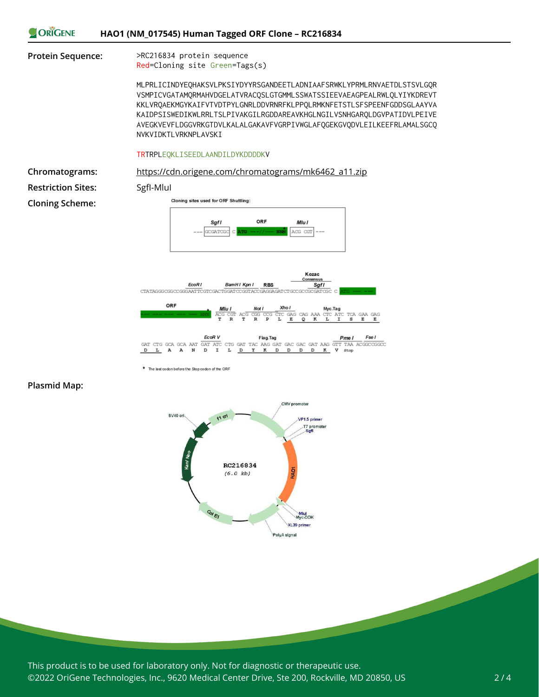

EcoR V Flag.Tag Fse I  $\begin{array}{lll} & \text{EcoR\,V} & \text{Flag}\\ \text{GAT\,GCA\,GCA\,AAT\,GAT\,ATC\,CTG\,GAT\,TAC\,AAG\,GAT\,GAC\,GAT\,AAG\,GAT\,AAG\,GAT\,AAG\,GAT\,AAG\,GAT\,AAG\,GAT\,AAG\,GAT\,AAG\,GAT\,AAG\,GAT\,AAG\,GAT\,AAG\,GAT\,AAG\,GAT\,AAG\,GAT\,AAG\,GAT\,AAG\,GAT\,AAG\,GAT\,AAG\,GAT\,AAG\,GAT\,AAG\,$  $L$  A A  $\overline{D}$  $\mathbb N$  $\mathbf D$  $\mathbf I$  $L$   $D$  $\mathbf{Y}$  $\mathbf{R}$ D D  $\,$  D  $D$ K V stop

\* The last codon before the Stop codon of the ORF

#### **Plasmid Map:**



This product is to be used for laboratory only. Not for diagnostic or therapeutic use. ©2022 OriGene Technologies, Inc., 9620 Medical Center Drive, Ste 200, Rockville, MD 20850, US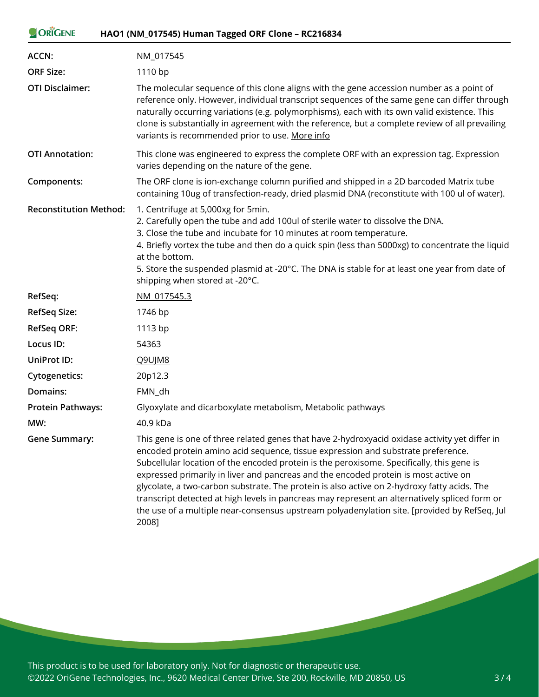| <b>ORIGENE</b>                | HAO1 (NM_017545) Human Tagged ORF Clone - RC216834                                                                                                                                                                                                                                                                                                                                                                                                                                                                                                                                                                                                                     |
|-------------------------------|------------------------------------------------------------------------------------------------------------------------------------------------------------------------------------------------------------------------------------------------------------------------------------------------------------------------------------------------------------------------------------------------------------------------------------------------------------------------------------------------------------------------------------------------------------------------------------------------------------------------------------------------------------------------|
| <b>ACCN:</b>                  | NM_017545                                                                                                                                                                                                                                                                                                                                                                                                                                                                                                                                                                                                                                                              |
| <b>ORF Size:</b>              | 1110 bp                                                                                                                                                                                                                                                                                                                                                                                                                                                                                                                                                                                                                                                                |
| <b>OTI Disclaimer:</b>        | The molecular sequence of this clone aligns with the gene accession number as a point of<br>reference only. However, individual transcript sequences of the same gene can differ through<br>naturally occurring variations (e.g. polymorphisms), each with its own valid existence. This<br>clone is substantially in agreement with the reference, but a complete review of all prevailing<br>variants is recommended prior to use. More info                                                                                                                                                                                                                         |
| <b>OTI Annotation:</b>        | This clone was engineered to express the complete ORF with an expression tag. Expression<br>varies depending on the nature of the gene.                                                                                                                                                                                                                                                                                                                                                                                                                                                                                                                                |
| Components:                   | The ORF clone is ion-exchange column purified and shipped in a 2D barcoded Matrix tube<br>containing 10ug of transfection-ready, dried plasmid DNA (reconstitute with 100 ul of water).                                                                                                                                                                                                                                                                                                                                                                                                                                                                                |
| <b>Reconstitution Method:</b> | 1. Centrifuge at 5,000xg for 5min.<br>2. Carefully open the tube and add 100ul of sterile water to dissolve the DNA.<br>3. Close the tube and incubate for 10 minutes at room temperature.<br>4. Briefly vortex the tube and then do a quick spin (less than 5000xg) to concentrate the liquid<br>at the bottom.<br>5. Store the suspended plasmid at -20°C. The DNA is stable for at least one year from date of<br>shipping when stored at -20°C.                                                                                                                                                                                                                    |
| RefSeq:                       | NM 017545.3                                                                                                                                                                                                                                                                                                                                                                                                                                                                                                                                                                                                                                                            |
| <b>RefSeq Size:</b>           | 1746 bp                                                                                                                                                                                                                                                                                                                                                                                                                                                                                                                                                                                                                                                                |
| <b>RefSeq ORF:</b>            | 1113 bp                                                                                                                                                                                                                                                                                                                                                                                                                                                                                                                                                                                                                                                                |
| Locus ID:                     | 54363                                                                                                                                                                                                                                                                                                                                                                                                                                                                                                                                                                                                                                                                  |
| UniProt ID:                   | <b>Q9UJM8</b>                                                                                                                                                                                                                                                                                                                                                                                                                                                                                                                                                                                                                                                          |
| <b>Cytogenetics:</b>          | 20p12.3                                                                                                                                                                                                                                                                                                                                                                                                                                                                                                                                                                                                                                                                |
| Domains:                      | FMN_dh                                                                                                                                                                                                                                                                                                                                                                                                                                                                                                                                                                                                                                                                 |
| Protein Pathways:             | Glyoxylate and dicarboxylate metabolism, Metabolic pathways                                                                                                                                                                                                                                                                                                                                                                                                                                                                                                                                                                                                            |
| MW:                           | 40.9 kDa                                                                                                                                                                                                                                                                                                                                                                                                                                                                                                                                                                                                                                                               |
| <b>Gene Summary:</b>          | This gene is one of three related genes that have 2-hydroxyacid oxidase activity yet differ in<br>encoded protein amino acid sequence, tissue expression and substrate preference.<br>Subcellular location of the encoded protein is the peroxisome. Specifically, this gene is<br>expressed primarily in liver and pancreas and the encoded protein is most active on<br>glycolate, a two-carbon substrate. The protein is also active on 2-hydroxy fatty acids. The<br>transcript detected at high levels in pancreas may represent an alternatively spliced form or<br>the use of a multiple near-consensus upstream polyadenylation site. [provided by RefSeq, Jul |

2008]

This product is to be used for laboratory only. Not for diagnostic or therapeutic use. ©2022 OriGene Technologies, Inc., 9620 Medical Center Drive, Ste 200, Rockville, MD 20850, US